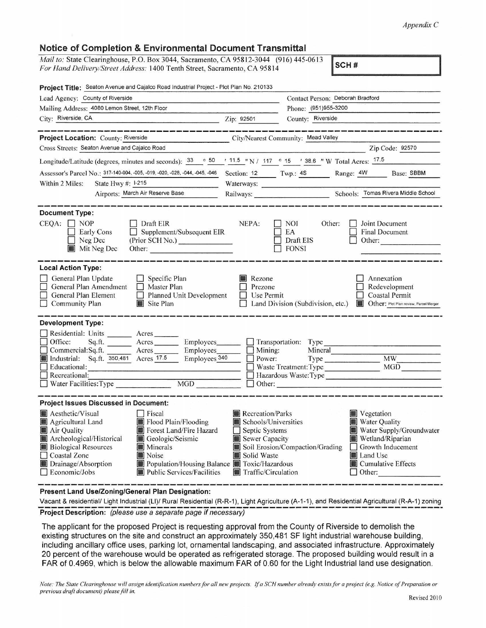## *Appendix* C

## Notice of Completion & Environmental Document Transmittal

*Mail to:* State Clearinghouse, P.O. Box 3044, Sacramento, CA 95812-3044 (916) 445-0613 *For Hand Delive1y/Street Address:* 1400 Tenth Street, Sacramento, CA 95814

SCH#

| Project Title: Seaton Avenue and Cajalco Road Industrial Project - Plot Plan No. 210133                                                                                                                                                                                                                                                                                                                                                 |                                                                                                                    |                                                                                                                                                                                          |
|-----------------------------------------------------------------------------------------------------------------------------------------------------------------------------------------------------------------------------------------------------------------------------------------------------------------------------------------------------------------------------------------------------------------------------------------|--------------------------------------------------------------------------------------------------------------------|------------------------------------------------------------------------------------------------------------------------------------------------------------------------------------------|
| Lead Agency: County of Riverside                                                                                                                                                                                                                                                                                                                                                                                                        |                                                                                                                    | Contact Person: Deborah Bradford                                                                                                                                                         |
| Mailing Address: 4080 Lemon Street, 12th Floor                                                                                                                                                                                                                                                                                                                                                                                          |                                                                                                                    | Phone: (951)955-3200                                                                                                                                                                     |
| City: Riverside, CA                                                                                                                                                                                                                                                                                                                                                                                                                     | Zip: 92501                                                                                                         | County: Riverside                                                                                                                                                                        |
| والأوالي والمواصلة وتعترضنا والمواصلة بعناه<br>Project Location: County: Riverside<br>Cross Streets: Seaton Avenue and Cajalco Road                                                                                                                                                                                                                                                                                                     |                                                                                                                    | .<br>The company sender allows discuss sender sends shown house discuss sender.<br>City/Nearest Community: Mead Valley<br>Zip Code: 92570                                                |
| Longitude/Latitude (degrees, minutes and seconds): $\frac{33}{9}$ $\frac{50}{9}$ $\frac{11.5}{11.5}$ N / 117 $\circ$ 15 $\prime$ 38.6 "W Total Acres: $\frac{17.5}{17.5}$                                                                                                                                                                                                                                                               |                                                                                                                    |                                                                                                                                                                                          |
| Assessor's Parcel No.: 317-140-004, -005, -019, -020, -028, -044, -045, -046<br>Within 2 Miles:<br>State Hwy $#$ : $ -215 $                                                                                                                                                                                                                                                                                                             |                                                                                                                    | Section: 12 Twp.: 4S Range: 4W Base: SBBM<br>Waterways:                                                                                                                                  |
| Airports: March Air Reserve Base                                                                                                                                                                                                                                                                                                                                                                                                        |                                                                                                                    | Railways: Schools: Tomas Rivera Middle School                                                                                                                                            |
| <b>Document Type:</b><br>$CEOA: \Box NOP$<br>Draft EIR<br>$\Box$ Supplement/Subsequent EIR<br>Early Cons<br>(Prior SCH No.)<br>$\Box$ Neg Dec<br>Mit Neg Dec<br>Other:                                                                                                                                                                                                                                                                  | NEPA:                                                                                                              | Other:<br>Joint Document<br>I NOI<br>$\Box$ EA<br><b>Final Document</b><br>$\Box$ Draft EIS<br>Other:<br>$\Box$ FONSI                                                                    |
| <b>Local Action Type:</b><br>General Plan Update<br>Specific Plan<br>$\Box$ General Plan Amendment<br>$\Box$ Master Plan<br>$\Box$ General Plan Element<br>$\Box$ Planned Unit Development<br>Site Plan<br>$\Box$ Community Plan                                                                                                                                                                                                        | Rezone<br>$\Box$ Prezone<br>$\Box$ Use Permit                                                                      | Annexation<br>Redevelopment<br><b>Coastal Permit</b><br>$\Box$ Land Division (Subdivision, etc.)<br>Other: Plot Plan review, Parcel Merger                                               |
| <b>Development Type:</b><br>Residential: Units _______ Acres___<br>$\Box$ Office:<br>Sq.ft. _______ Acres ________ Employees________ __ Transportation: Type<br>Commercial:Sq.ft. Acres Employees Employees<br>Industrial: Sq.ft. 350,481 Acres 77.5 Employees 340<br>  Educational:<br>$\Box$ Recreational:<br>MGD<br>Water Facilities: Type                                                                                           |                                                                                                                    | Mineral<br>$\Box$ Mining:<br>$\Box$ Power:<br>Type MW MW<br>MGD<br>$\Box$ Waste Treatment: Type<br><u> 1989 - Alexandria III, prima popula</u><br>Hazardous Waste: Type<br>$\Box$ Other: |
| <b>Project Issues Discussed in Document:</b><br>Aesthetic/Visual<br>$\Box$ Fiscal<br>Agricultural Land<br>Flood Plain/Flooding<br>Forest Land/Fire Hazard<br>Air Quality<br>Archeological/Historical<br>Geologic/Seismic<br><b>Biological Resources</b><br><b>Minerals</b><br>□ Coastal Zone<br>Noise<br>Drainage/Absorption<br>Population/Housing Balance Toxic/Hazardous<br>$\Box$ Economic/Jobs<br><b>Public Services/Facilities</b> | Recreation/Parks<br>Schools/Universities<br>Septic Systems<br>Sewer Capacity<br>Solid Waste<br>Traffic/Circulation | Vegetation<br>Water Quality<br>Water Supply/Groundwater<br>Wetland/Riparian<br>Soil Erosion/Compaction/Grading<br>$\Box$ Growth Inducement<br>Land Use<br>Cumulative Effects<br>  Other: |

Present Land Use/Zoning/General Plan Designation:

Vacant & residential/ Light Industrial (LI)/ Rural Residential (R-R-1), Light Agriculture (A-1-1), and Residential Agricultural (R-A-1) zoning<br> **Project Description:** (please use a separate page if necessary)

The applicant for the proposed Project is requesting approval from the County of Riverside to demolish the existing structures on the site and construct an approximately 350,481 SF light industrial warehouse building, including ancillary office uses, parking lot, ornamental landscaping, and associated infrastructure. Approximately 20 percent of the warehouse would be operated as refrigerated storage. The proposed building would result in a FAR of 0.4969, which is below the allowable maximum FAR of 0.60 for the Light Industrial land use designation.

*Note: The State Clearinghouse will assign identification numbers for all new projects.* If *a SCH number already exislsfor a project (e.g. Notice of Preparation or previous draft document) please fill in.*